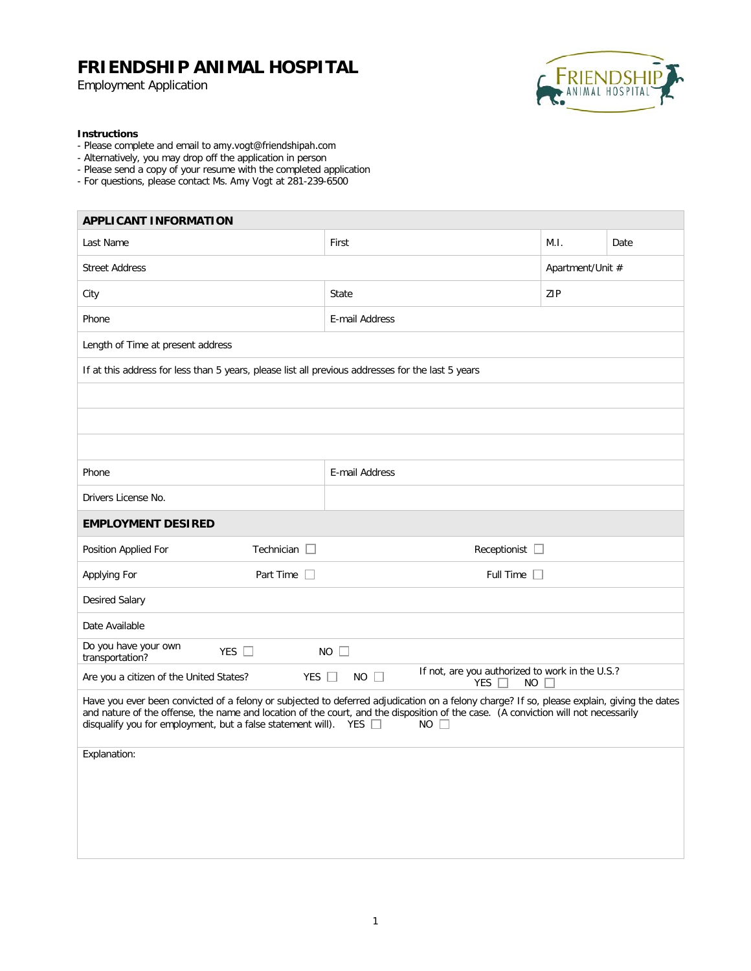Employment Application



#### **Instructions**

- Please complete and email to amy.vogt@friendshipah.com
- Alternatively, you may drop off the application in person
- Please send a copy of your resume with the completed application
- For questions, please contact Ms. Amy Vogt at 281-239-6500

| <b>APPLICANT INFORMATION</b>                                                                                                                                                                                                                                                                                                                                                 |                        |                  |      |  |  |
|------------------------------------------------------------------------------------------------------------------------------------------------------------------------------------------------------------------------------------------------------------------------------------------------------------------------------------------------------------------------------|------------------------|------------------|------|--|--|
| Last Name                                                                                                                                                                                                                                                                                                                                                                    | First                  | M.I.             | Date |  |  |
| <b>Street Address</b>                                                                                                                                                                                                                                                                                                                                                        |                        | Apartment/Unit # |      |  |  |
| City                                                                                                                                                                                                                                                                                                                                                                         | ZIP<br>State           |                  |      |  |  |
| Phone                                                                                                                                                                                                                                                                                                                                                                        | E-mail Address         |                  |      |  |  |
| Length of Time at present address                                                                                                                                                                                                                                                                                                                                            |                        |                  |      |  |  |
| If at this address for less than 5 years, please list all previous addresses for the last 5 years                                                                                                                                                                                                                                                                            |                        |                  |      |  |  |
|                                                                                                                                                                                                                                                                                                                                                                              |                        |                  |      |  |  |
|                                                                                                                                                                                                                                                                                                                                                                              |                        |                  |      |  |  |
|                                                                                                                                                                                                                                                                                                                                                                              |                        |                  |      |  |  |
| Phone                                                                                                                                                                                                                                                                                                                                                                        | E-mail Address         |                  |      |  |  |
| Drivers License No.                                                                                                                                                                                                                                                                                                                                                          |                        |                  |      |  |  |
| <b>EMPLOYMENT DESIRED</b>                                                                                                                                                                                                                                                                                                                                                    |                        |                  |      |  |  |
| Position Applied For<br>Technician $\Box$                                                                                                                                                                                                                                                                                                                                    | Receptionist $\square$ |                  |      |  |  |
| Applying For<br>Part Time $\square$                                                                                                                                                                                                                                                                                                                                          | Full Time $\Box$       |                  |      |  |  |
| Desired Salary                                                                                                                                                                                                                                                                                                                                                               |                        |                  |      |  |  |
| Date Available                                                                                                                                                                                                                                                                                                                                                               |                        |                  |      |  |  |
| Do you have your own<br>YES $\square$<br>transportation?                                                                                                                                                                                                                                                                                                                     | $NO$ $\Box$            |                  |      |  |  |
| If not, are you authorized to work in the U.S.?<br>Are you a citizen of the United States?<br>YES $\Box$<br>$NO$ $\Box$<br>YES<br><b>NO</b>                                                                                                                                                                                                                                  |                        |                  |      |  |  |
| Have you ever been convicted of a felony or subjected to deferred adjudication on a felony charge? If so, please explain, giving the dates<br>and nature of the offense, the name and location of the court, and the disposition of the case. (A conviction will not necessarily<br>disqualify you for employment, but a false statement will). YES $\square$<br>$NO$ $\Box$ |                        |                  |      |  |  |
| Explanation:                                                                                                                                                                                                                                                                                                                                                                 |                        |                  |      |  |  |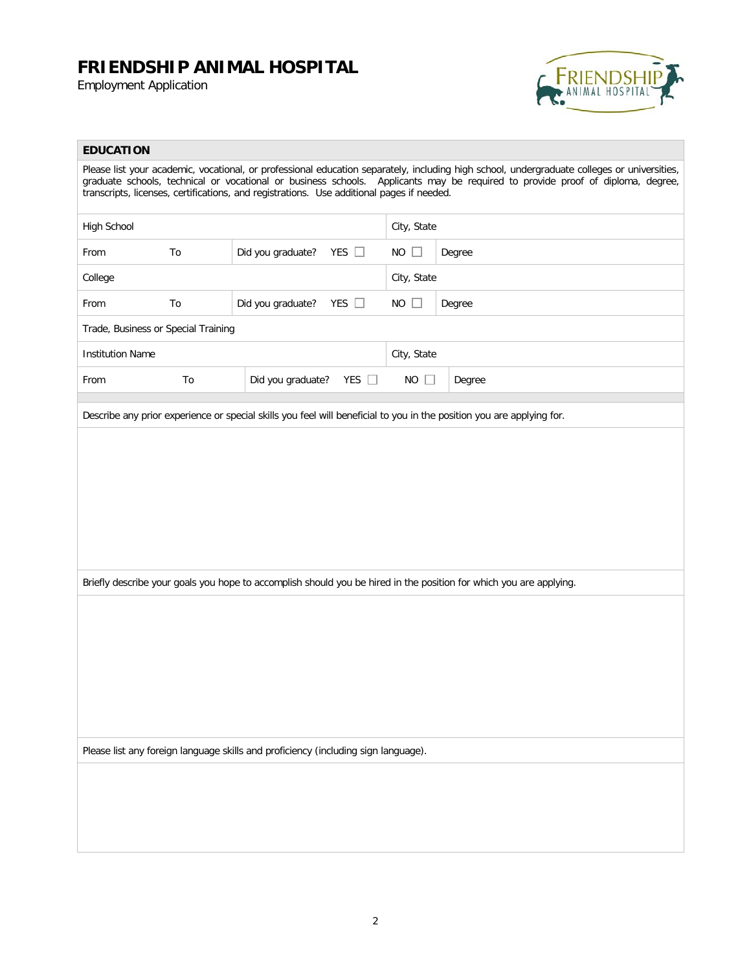Employment Application



### **EDUCATION**

| Please list your academic, vocational, or professional education separately, including high school, undergraduate colleges or universities,<br>graduate schools, technical or vocational or business schools. Applicants may be required to provide proof of diploma, degree,<br>transcripts, licenses, certifications, and registrations. Use additional pages if needed. |    |                                                                                                                       |             |        |  |
|----------------------------------------------------------------------------------------------------------------------------------------------------------------------------------------------------------------------------------------------------------------------------------------------------------------------------------------------------------------------------|----|-----------------------------------------------------------------------------------------------------------------------|-------------|--------|--|
| High School                                                                                                                                                                                                                                                                                                                                                                |    |                                                                                                                       | City, State |        |  |
| To<br>From                                                                                                                                                                                                                                                                                                                                                                 |    | Did you graduate?<br>YES $\square$                                                                                    | $NO$ $\Box$ | Degree |  |
| College                                                                                                                                                                                                                                                                                                                                                                    |    |                                                                                                                       | City, State |        |  |
| To<br>From                                                                                                                                                                                                                                                                                                                                                                 |    | YES $\square$<br>Did you graduate?                                                                                    | $NO$ $\Box$ | Degree |  |
| Trade, Business or Special Training                                                                                                                                                                                                                                                                                                                                        |    |                                                                                                                       |             |        |  |
| <b>Institution Name</b>                                                                                                                                                                                                                                                                                                                                                    |    |                                                                                                                       | City, State |        |  |
| From                                                                                                                                                                                                                                                                                                                                                                       | To | Did you graduate?<br>YES $\Box$                                                                                       | $NO$ $\Box$ | Degree |  |
|                                                                                                                                                                                                                                                                                                                                                                            |    | Describe any prior experience or special skills you feel will beneficial to you in the position you are applying for. |             |        |  |
|                                                                                                                                                                                                                                                                                                                                                                            |    |                                                                                                                       |             |        |  |
|                                                                                                                                                                                                                                                                                                                                                                            |    |                                                                                                                       |             |        |  |
|                                                                                                                                                                                                                                                                                                                                                                            |    |                                                                                                                       |             |        |  |
|                                                                                                                                                                                                                                                                                                                                                                            |    |                                                                                                                       |             |        |  |
|                                                                                                                                                                                                                                                                                                                                                                            |    |                                                                                                                       |             |        |  |
|                                                                                                                                                                                                                                                                                                                                                                            |    |                                                                                                                       |             |        |  |
|                                                                                                                                                                                                                                                                                                                                                                            |    | Briefly describe your goals you hope to accomplish should you be hired in the position for which you are applying.    |             |        |  |
|                                                                                                                                                                                                                                                                                                                                                                            |    |                                                                                                                       |             |        |  |
|                                                                                                                                                                                                                                                                                                                                                                            |    |                                                                                                                       |             |        |  |
|                                                                                                                                                                                                                                                                                                                                                                            |    |                                                                                                                       |             |        |  |
|                                                                                                                                                                                                                                                                                                                                                                            |    |                                                                                                                       |             |        |  |
|                                                                                                                                                                                                                                                                                                                                                                            |    |                                                                                                                       |             |        |  |
| Please list any foreign language skills and proficiency (including sign language).                                                                                                                                                                                                                                                                                         |    |                                                                                                                       |             |        |  |
|                                                                                                                                                                                                                                                                                                                                                                            |    |                                                                                                                       |             |        |  |
|                                                                                                                                                                                                                                                                                                                                                                            |    |                                                                                                                       |             |        |  |
|                                                                                                                                                                                                                                                                                                                                                                            |    |                                                                                                                       |             |        |  |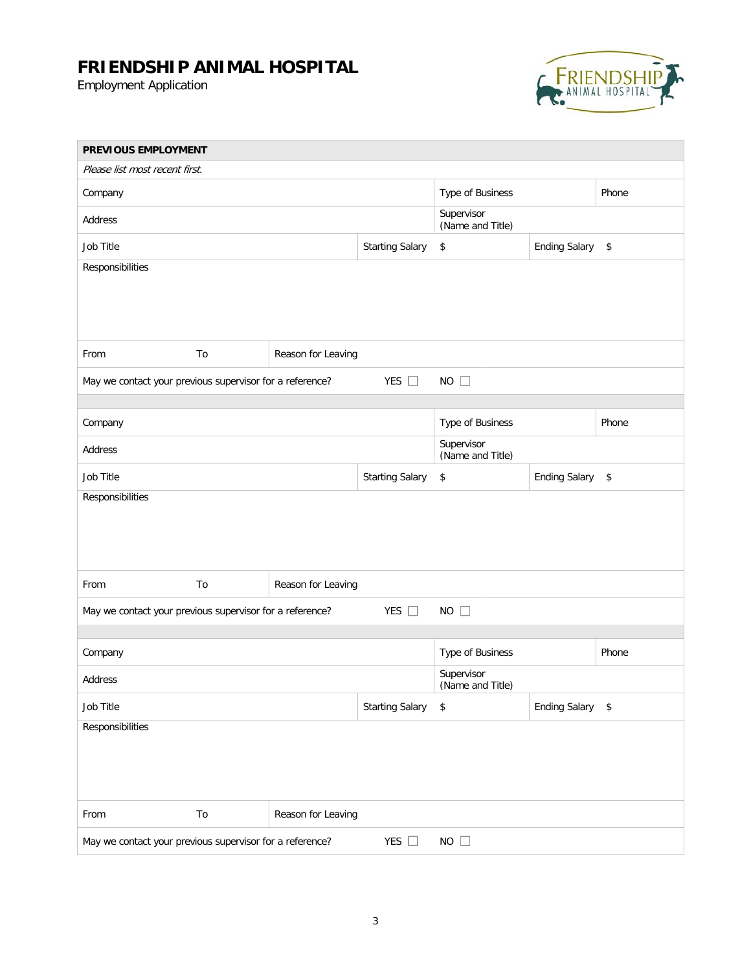Employment Application



| PREVIOUS EMPLOYMENT                                                                      |    |                    |                        |                                |                      |       |
|------------------------------------------------------------------------------------------|----|--------------------|------------------------|--------------------------------|----------------------|-------|
| Please list most recent first.                                                           |    |                    |                        |                                |                      |       |
| Company                                                                                  |    | Type of Business   |                        | Phone                          |                      |       |
| Address                                                                                  |    |                    |                        | Supervisor<br>(Name and Title) |                      |       |
| Job Title                                                                                |    |                    | <b>Starting Salary</b> | $\,$                           | Ending Salary \$     |       |
| Responsibilities                                                                         |    |                    |                        |                                |                      |       |
| From                                                                                     | To | Reason for Leaving |                        |                                |                      |       |
| May we contact your previous supervisor for a reference?                                 |    |                    | YES $\Box$             | $NO$ $\Box$                    |                      |       |
| Company                                                                                  |    |                    |                        | Type of Business               |                      | Phone |
| Address                                                                                  |    |                    |                        | Supervisor<br>(Name and Title) |                      |       |
| Job Title                                                                                |    |                    | <b>Starting Salary</b> | $\,$                           | <b>Ending Salary</b> | \$    |
| Responsibilities                                                                         |    |                    |                        |                                |                      |       |
| From                                                                                     | To | Reason for Leaving |                        |                                |                      |       |
| $NO$ $\Box$<br>YES $\Box$<br>May we contact your previous supervisor for a reference?    |    |                    |                        |                                |                      |       |
|                                                                                          |    |                    |                        |                                |                      |       |
| Company                                                                                  |    |                    |                        | Type of Business               |                      | Phone |
| Address                                                                                  |    |                    |                        | Supervisor<br>(Name and Title) |                      |       |
| Job Title                                                                                |    |                    | <b>Starting Salary</b> | \$                             | <b>Ending Salary</b> | \$    |
| Responsibilities                                                                         |    |                    |                        |                                |                      |       |
| From                                                                                     | To | Reason for Leaving |                        |                                |                      |       |
| May we contact your previous supervisor for a reference?<br>YES $\square$<br>$NO$ $\Box$ |    |                    |                        |                                |                      |       |